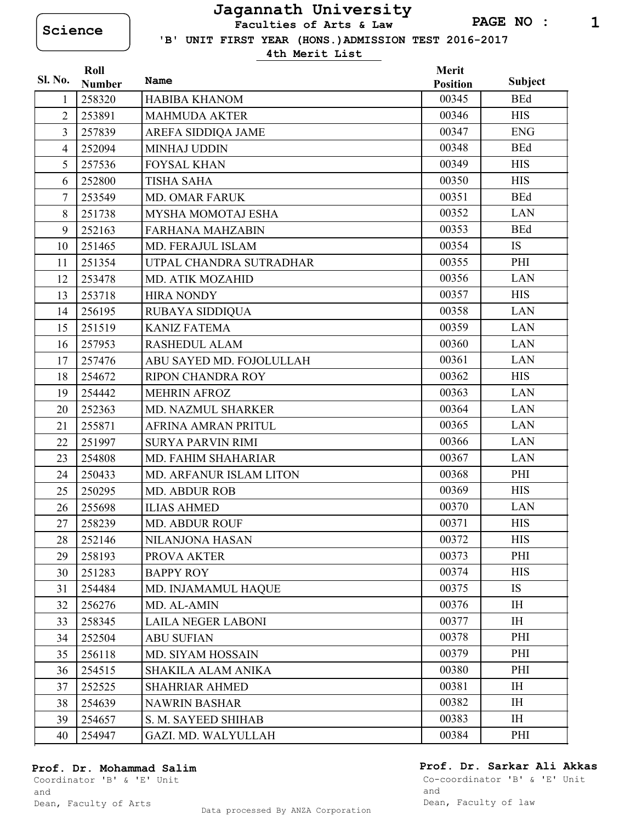## **Jagannath University**

**Science Faculties of Arts & Law**

 **'B' UNIT FIRST YEAR (HONS.)ADMISSION TEST 2016-2017**

**4th Merit List**

|                | Roll          |                           | Merit           |                |
|----------------|---------------|---------------------------|-----------------|----------------|
| Sl. No.        | <b>Number</b> | Name                      | <b>Position</b> | <b>Subject</b> |
| 1              | 258320        | <b>HABIBA KHANOM</b>      | 00345           | <b>BEd</b>     |
| $\overline{2}$ | 253891        | <b>MAHMUDA AKTER</b>      | 00346           | <b>HIS</b>     |
| $\overline{3}$ | 257839        | AREFA SIDDIQA JAME        | 00347           | <b>ENG</b>     |
| $\overline{4}$ | 252094        | <b>MINHAJ UDDIN</b>       | 00348           | <b>BEd</b>     |
| 5              | 257536        | <b>FOYSAL KHAN</b>        | 00349           | <b>HIS</b>     |
| 6              | 252800        | <b>TISHA SAHA</b>         | 00350           | <b>HIS</b>     |
| $\overline{7}$ | 253549        | <b>MD. OMAR FARUK</b>     | 00351           | <b>BEd</b>     |
| 8              | 251738        | MYSHA MOMOTAJ ESHA        | 00352           | <b>LAN</b>     |
| 9              | 252163        | <b>FARHANA MAHZABIN</b>   | 00353           | <b>BEd</b>     |
| 10             | 251465        | <b>MD. FERAJUL ISLAM</b>  | 00354           | <b>IS</b>      |
| 11             | 251354        | UTPAL CHANDRA SUTRADHAR   | 00355           | PHI            |
| 12             | 253478        | MD. ATIK MOZAHID          | 00356           | <b>LAN</b>     |
| 13             | 253718        | <b>HIRA NONDY</b>         | 00357           | <b>HIS</b>     |
| 14             | 256195        | RUBAYA SIDDIQUA           | 00358           | <b>LAN</b>     |
| 15             | 251519        | <b>KANIZ FATEMA</b>       | 00359           | <b>LAN</b>     |
| 16             | 257953        | <b>RASHEDUL ALAM</b>      | 00360           | <b>LAN</b>     |
| 17             | 257476        | ABU SAYED MD. FOJOLULLAH  | 00361           | <b>LAN</b>     |
| 18             | 254672        | <b>RIPON CHANDRA ROY</b>  | 00362           | <b>HIS</b>     |
| 19             | 254442        | <b>MEHRIN AFROZ</b>       | 00363           | <b>LAN</b>     |
| 20             | 252363        | MD. NAZMUL SHARKER        | 00364           | <b>LAN</b>     |
| 21             | 255871        | AFRINA AMRAN PRITUL       | 00365           | <b>LAN</b>     |
| 22             | 251997        | <b>SURYA PARVIN RIMI</b>  | 00366           | <b>LAN</b>     |
| 23             | 254808        | MD. FAHIM SHAHARIAR       | 00367           | <b>LAN</b>     |
| 24             | 250433        | MD. ARFANUR ISLAM LITON   | 00368           | PHI            |
| 25             | 250295        | <b>MD. ABDUR ROB</b>      | 00369           | <b>HIS</b>     |
| 26             | 255698        | <b>ILIAS AHMED</b>        | 00370           | <b>LAN</b>     |
| 27             | 258239        | <b>MD. ABDUR ROUF</b>     | 00371           | <b>HIS</b>     |
| 28             | 252146        | NILANJONA HASAN           | 00372           | <b>HIS</b>     |
| 29             | 258193        | PROVA AKTER               | 00373           | PHI            |
| 30             | 251283        | <b>BAPPY ROY</b>          | 00374           | <b>HIS</b>     |
| 31             | 254484        | MD. INJAMAMUL HAQUE       | 00375           | <b>IS</b>      |
| 32             | 256276        | MD. AL-AMIN               | 00376           | IH             |
| 33             | 258345        | <b>LAILA NEGER LABONI</b> | 00377           | <b>IH</b>      |
| 34             | 252504        | <b>ABU SUFIAN</b>         | 00378           | PHI            |
| 35             | 256118        | MD. SIYAM HOSSAIN         | 00379           | PHI            |
| 36             | 254515        | SHAKILA ALAM ANIKA        | 00380           | PHI            |
| 37             | 252525        | <b>SHAHRIAR AHMED</b>     | 00381           | IH             |
| 38             | 254639        | <b>NAWRIN BASHAR</b>      | 00382           | $\rm IH$       |
| 39             | 254657        | S. M. SAYEED SHIHAB       | 00383           | IH             |
| 40             | 254947        | GAZI. MD. WALYULLAH       | 00384           | PHI            |

Dean, Faculty of Arts

and

**Prof. Dr. Sarkar Ali Akkas**

Co-coordinator 'B' & 'E' Unit and Dean, Faculty of law